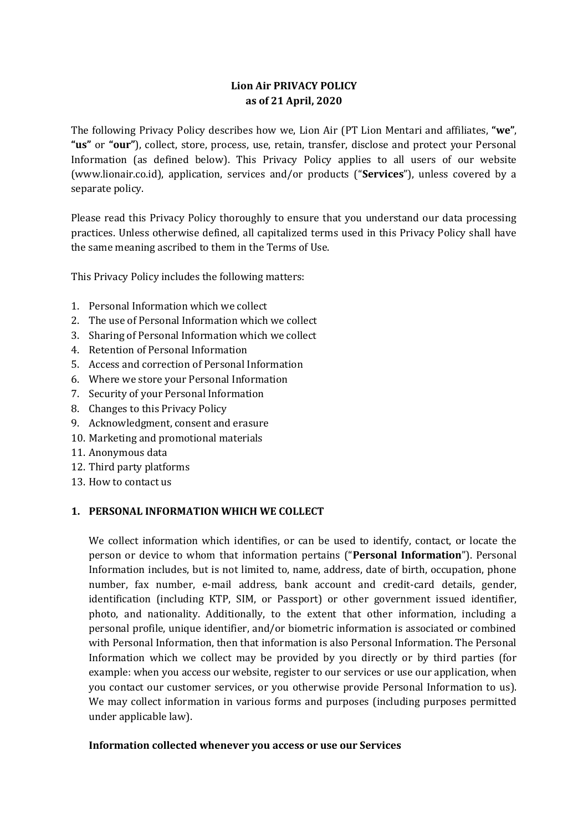# **Lion Air PRIVACY POLICY as of 21 April, 2020**

The following Privacy Policy describes how we, Lion Air (PT Lion Mentari and affiliates, **"we"**, **"us"** or **"our"**), collect, store, process, use, retain, transfer, disclose and protect your Personal Information (as defined below). This Privacy Policy applies to all users of our website (www.lionair.co.id), application, services and/or products ("**Services**"), unless covered by a separate policy.

Please read this Privacy Policy thoroughly to ensure that you understand our data processing practices. Unless otherwise defined, all capitalized terms used in this Privacy Policy shall have the same meaning ascribed to them in the Terms of Use.

This Privacy Policy includes the following matters:

- 1. Personal Information which we collect
- 2. The use of Personal Information which we collect
- 3. Sharing of Personal Information which we collect
- 4. Retention of Personal Information
- 5. Access and correction of Personal Information
- 6. Where we store your Personal Information
- 7. Security of your Personal Information
- 8. Changes to this Privacy Policy
- 9. Acknowledgment, consent and erasure
- 10. Marketing and promotional materials
- 11. Anonymous data
- 12. Third party platforms
- 13. How to contact us

### **1. PERSONAL INFORMATION WHICH WE COLLECT**

We collect information which identifies, or can be used to identify, contact, or locate the person or device to whom that information pertains ("**Personal Information**"). Personal Information includes, but is not limited to, name, address, date of birth, occupation, phone number, fax number, e-mail address, bank account and credit-card details, gender, identification (including KTP, SIM, or Passport) or other government issued identifier, photo, and nationality. Additionally, to the extent that other information, including a personal profile, unique identifier, and/or biometric information is associated or combined with Personal Information, then that information is also Personal Information. The Personal Information which we collect may be provided by you directly or by third parties (for example: when you access our website, register to our services or use our application, when you contact our customer services, or you otherwise provide Personal Information to us). We may collect information in various forms and purposes (including purposes permitted under applicable law).

### **Information collected whenever you access or use our Services**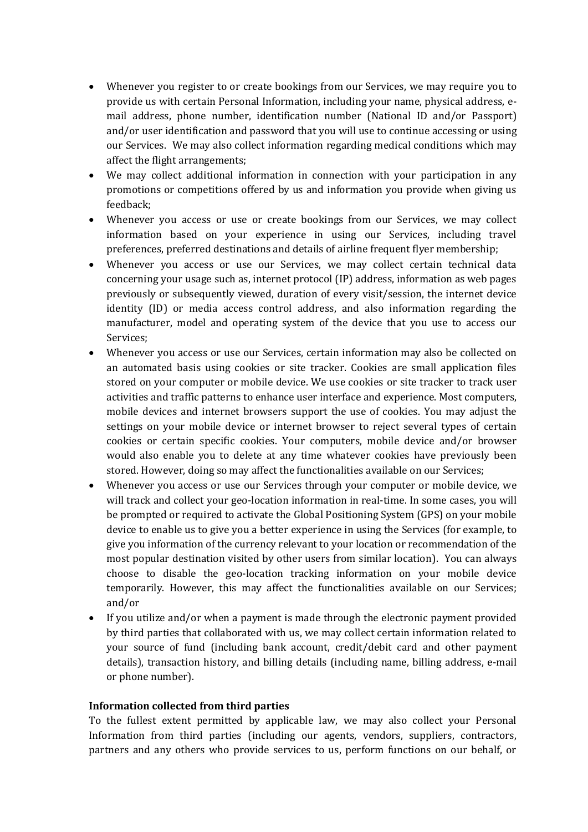- Whenever you register to or create bookings from our Services, we may require you to provide us with certain Personal Information, including your name, physical address, email address, phone number, identification number (National ID and/or Passport) and/or user identification and password that you will use to continue accessing or using our Services. We may also collect information regarding medical conditions which may affect the flight arrangements;
- We may collect additional information in connection with your participation in any promotions or competitions offered by us and information you provide when giving us feedback;
- Whenever you access or use or create bookings from our Services, we may collect information based on your experience in using our Services, including travel preferences, preferred destinations and details of airline frequent flyer membership;
- Whenever you access or use our Services, we may collect certain technical data concerning your usage such as, internet protocol (IP) address, information as web pages previously or subsequently viewed, duration of every visit/session, the internet device identity (ID) or media access control address, and also information regarding the manufacturer, model and operating system of the device that you use to access our Services;
- Whenever you access or use our Services, certain information may also be collected on an automated basis using cookies or site tracker. Cookies are small application files stored on your computer or mobile device. We use cookies or site tracker to track user activities and traffic patterns to enhance user interface and experience. Most computers, mobile devices and internet browsers support the use of cookies. You may adjust the settings on your mobile device or internet browser to reject several types of certain cookies or certain specific cookies. Your computers, mobile device and/or browser would also enable you to delete at any time whatever cookies have previously been stored. However, doing so may affect the functionalities available on our Services;
- Whenever you access or use our Services through your computer or mobile device, we will track and collect your geo-location information in real-time. In some cases, you will be prompted or required to activate the Global Positioning System (GPS) on your mobile device to enable us to give you a better experience in using the Services (for example, to give you information of the currency relevant to your location or recommendation of the most popular destination visited by other users from similar location). You can always choose to disable the geo-location tracking information on your mobile device temporarily. However, this may affect the functionalities available on our Services; and/or
- If you utilize and/or when a payment is made through the electronic payment provided by third parties that collaborated with us, we may collect certain information related to your source of fund (including bank account, credit/debit card and other payment details), transaction history, and billing details (including name, billing address, e-mail or phone number).

#### **Information collected from third parties**

To the fullest extent permitted by applicable law, we may also collect your Personal Information from third parties (including our agents, vendors, suppliers, contractors, partners and any others who provide services to us, perform functions on our behalf, or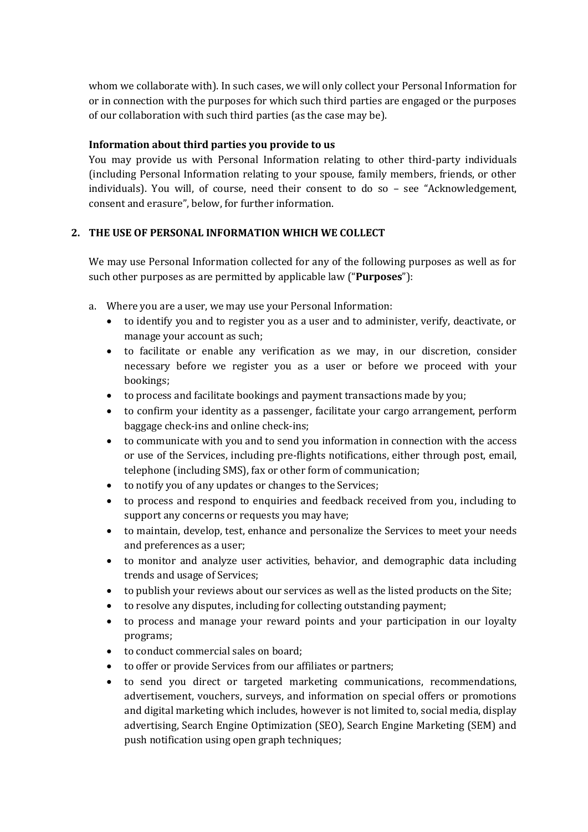whom we collaborate with). In such cases, we will only collect your Personal Information for or in connection with the purposes for which such third parties are engaged or the purposes of our collaboration with such third parties (as the case may be).

## **Information about third parties you provide to us**

You may provide us with Personal Information relating to other third-party individuals (including Personal Information relating to your spouse, family members, friends, or other individuals). You will, of course, need their consent to do so – see "Acknowledgement, consent and erasure", below, for further information.

## **2. THE USE OF PERSONAL INFORMATION WHICH WE COLLECT**

We may use Personal Information collected for any of the following purposes as well as for such other purposes as are permitted by applicable law ("**Purposes**"):

- a. Where you are a user, we may use your Personal Information:
	- to identify you and to register you as a user and to administer, verify, deactivate, or manage your account as such;
	- to facilitate or enable any verification as we may, in our discretion, consider necessary before we register you as a user or before we proceed with your bookings;
	- to process and facilitate bookings and payment transactions made by you;
	- to confirm your identity as a passenger, facilitate your cargo arrangement, perform baggage check-ins and online check-ins;
	- to communicate with you and to send you information in connection with the access or use of the Services, including pre-flights notifications, either through post, email, telephone (including SMS), fax or other form of communication;
	- to notify you of any updates or changes to the Services;
	- to process and respond to enquiries and feedback received from you, including to support any concerns or requests you may have;
	- to maintain, develop, test, enhance and personalize the Services to meet your needs and preferences as a user;
	- to monitor and analyze user activities, behavior, and demographic data including trends and usage of Services;
	- to publish your reviews about our services as well as the listed products on the Site;
	- to resolve any disputes, including for collecting outstanding payment;
	- to process and manage your reward points and your participation in our loyalty programs;
	- to conduct commercial sales on board;
	- to offer or provide Services from our affiliates or partners;
	- to send you direct or targeted marketing communications, recommendations, advertisement, vouchers, surveys, and information on special offers or promotions and digital marketing which includes, however is not limited to, social media, display advertising, Search Engine Optimization (SEO), Search Engine Marketing (SEM) and push notification using open graph techniques;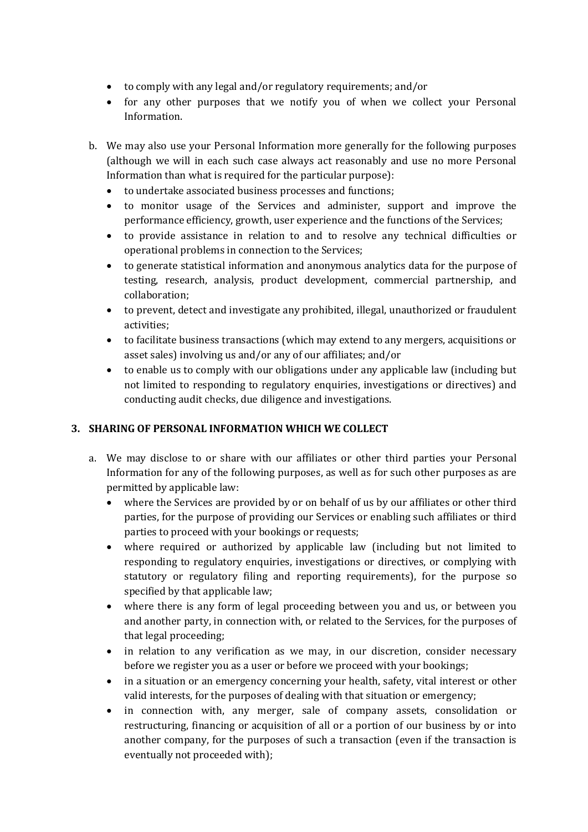- to comply with any legal and/or regulatory requirements; and/or
- for any other purposes that we notify you of when we collect your Personal Information.
- b. We may also use your Personal Information more generally for the following purposes (although we will in each such case always act reasonably and use no more Personal Information than what is required for the particular purpose):
	- to undertake associated business processes and functions;
	- to monitor usage of the Services and administer, support and improve the performance efficiency, growth, user experience and the functions of the Services;
	- to provide assistance in relation to and to resolve any technical difficulties or operational problems in connection to the Services;
	- to generate statistical information and anonymous analytics data for the purpose of testing, research, analysis, product development, commercial partnership, and collaboration;
	- to prevent, detect and investigate any prohibited, illegal, unauthorized or fraudulent activities;
	- to facilitate business transactions (which may extend to any mergers, acquisitions or asset sales) involving us and/or any of our affiliates; and/or
	- to enable us to comply with our obligations under any applicable law (including but not limited to responding to regulatory enquiries, investigations or directives) and conducting audit checks, due diligence and investigations.

# **3. SHARING OF PERSONAL INFORMATION WHICH WE COLLECT**

- a. We may disclose to or share with our affiliates or other third parties your Personal Information for any of the following purposes, as well as for such other purposes as are permitted by applicable law:
	- where the Services are provided by or on behalf of us by our affiliates or other third parties, for the purpose of providing our Services or enabling such affiliates or third parties to proceed with your bookings or requests;
	- where required or authorized by applicable law (including but not limited to responding to regulatory enquiries, investigations or directives, or complying with statutory or regulatory filing and reporting requirements), for the purpose so specified by that applicable law;
	- where there is any form of legal proceeding between you and us, or between you and another party, in connection with, or related to the Services, for the purposes of that legal proceeding;
	- in relation to any verification as we may, in our discretion, consider necessary before we register you as a user or before we proceed with your bookings;
	- in a situation or an emergency concerning your health, safety, vital interest or other valid interests, for the purposes of dealing with that situation or emergency;
	- in connection with, any merger, sale of company assets, consolidation or restructuring, financing or acquisition of all or a portion of our business by or into another company, for the purposes of such a transaction (even if the transaction is eventually not proceeded with);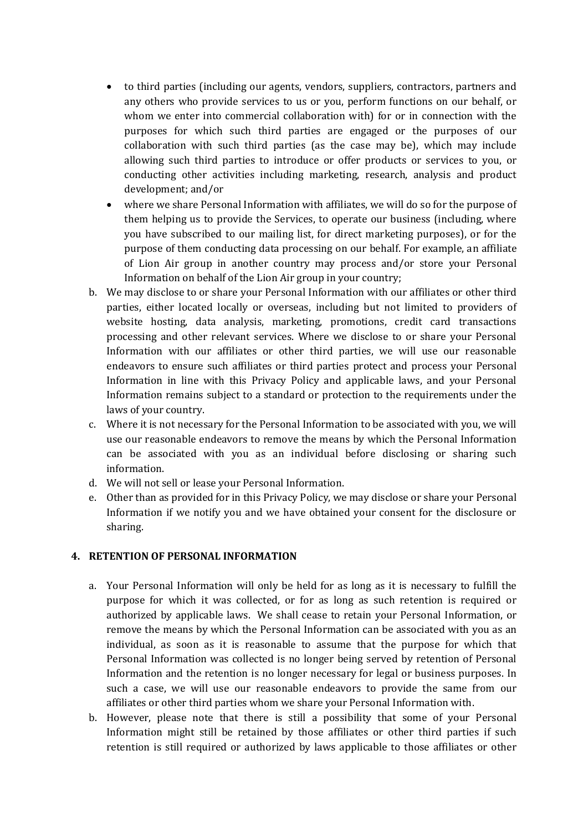- to third parties (including our agents, vendors, suppliers, contractors, partners and any others who provide services to us or you, perform functions on our behalf, or whom we enter into commercial collaboration with) for or in connection with the purposes for which such third parties are engaged or the purposes of our collaboration with such third parties (as the case may be), which may include allowing such third parties to introduce or offer products or services to you, or conducting other activities including marketing, research, analysis and product development; and/or
- where we share Personal Information with affiliates, we will do so for the purpose of them helping us to provide the Services, to operate our business (including, where you have subscribed to our mailing list, for direct marketing purposes), or for the purpose of them conducting data processing on our behalf. For example, an affiliate of Lion Air group in another country may process and/or store your Personal Information on behalf of the Lion Air group in your country;
- b. We may disclose to or share your Personal Information with our affiliates or other third parties, either located locally or overseas, including but not limited to providers of website hosting, data analysis, marketing, promotions, credit card transactions processing and other relevant services. Where we disclose to or share your Personal Information with our affiliates or other third parties, we will use our reasonable endeavors to ensure such affiliates or third parties protect and process your Personal Information in line with this Privacy Policy and applicable laws, and your Personal Information remains subject to a standard or protection to the requirements under the laws of your country.
- c. Where it is not necessary for the Personal Information to be associated with you, we will use our reasonable endeavors to remove the means by which the Personal Information can be associated with you as an individual before disclosing or sharing such information.
- d. We will not sell or lease your Personal Information.
- e. Other than as provided for in this Privacy Policy, we may disclose or share your Personal Information if we notify you and we have obtained your consent for the disclosure or sharing.

# **4. RETENTION OF PERSONAL INFORMATION**

- a. Your Personal Information will only be held for as long as it is necessary to fulfill the purpose for which it was collected, or for as long as such retention is required or authorized by applicable laws. We shall cease to retain your Personal Information, or remove the means by which the Personal Information can be associated with you as an individual, as soon as it is reasonable to assume that the purpose for which that Personal Information was collected is no longer being served by retention of Personal Information and the retention is no longer necessary for legal or business purposes. In such a case, we will use our reasonable endeavors to provide the same from our affiliates or other third parties whom we share your Personal Information with.
- b. However, please note that there is still a possibility that some of your Personal Information might still be retained by those affiliates or other third parties if such retention is still required or authorized by laws applicable to those affiliates or other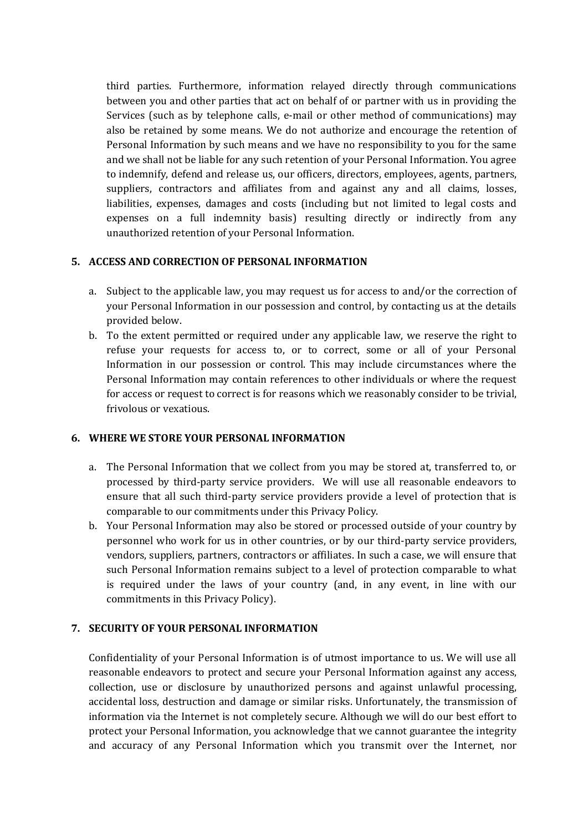third parties. Furthermore, information relayed directly through communications between you and other parties that act on behalf of or partner with us in providing the Services (such as by telephone calls, e-mail or other method of communications) may also be retained by some means. We do not authorize and encourage the retention of Personal Information by such means and we have no responsibility to you for the same and we shall not be liable for any such retention of your Personal Information. You agree to indemnify, defend and release us, our officers, directors, employees, agents, partners, suppliers, contractors and affiliates from and against any and all claims, losses, liabilities, expenses, damages and costs (including but not limited to legal costs and expenses on a full indemnity basis) resulting directly or indirectly from any unauthorized retention of your Personal Information.

## **5. ACCESS AND CORRECTION OF PERSONAL INFORMATION**

- a. Subject to the applicable law, you may request us for access to and/or the correction of your Personal Information in our possession and control, by contacting us at the details provided below.
- b. To the extent permitted or required under any applicable law, we reserve the right to refuse your requests for access to, or to correct, some or all of your Personal Information in our possession or control. This may include circumstances where the Personal Information may contain references to other individuals or where the request for access or request to correct is for reasons which we reasonably consider to be trivial, frivolous or vexatious.

### **6. WHERE WE STORE YOUR PERSONAL INFORMATION**

- a. The Personal Information that we collect from you may be stored at, transferred to, or processed by third-party service providers. We will use all reasonable endeavors to ensure that all such third-party service providers provide a level of protection that is comparable to our commitments under this Privacy Policy.
- b. Your Personal Information may also be stored or processed outside of your country by personnel who work for us in other countries, or by our third-party service providers, vendors, suppliers, partners, contractors or affiliates. In such a case, we will ensure that such Personal Information remains subject to a level of protection comparable to what is required under the laws of your country (and, in any event, in line with our commitments in this Privacy Policy).

### **7. SECURITY OF YOUR PERSONAL INFORMATION**

Confidentiality of your Personal Information is of utmost importance to us. We will use all reasonable endeavors to protect and secure your Personal Information against any access, collection, use or disclosure by unauthorized persons and against unlawful processing, accidental loss, destruction and damage or similar risks. Unfortunately, the transmission of information via the Internet is not completely secure. Although we will do our best effort to protect your Personal Information, you acknowledge that we cannot guarantee the integrity and accuracy of any Personal Information which you transmit over the Internet, nor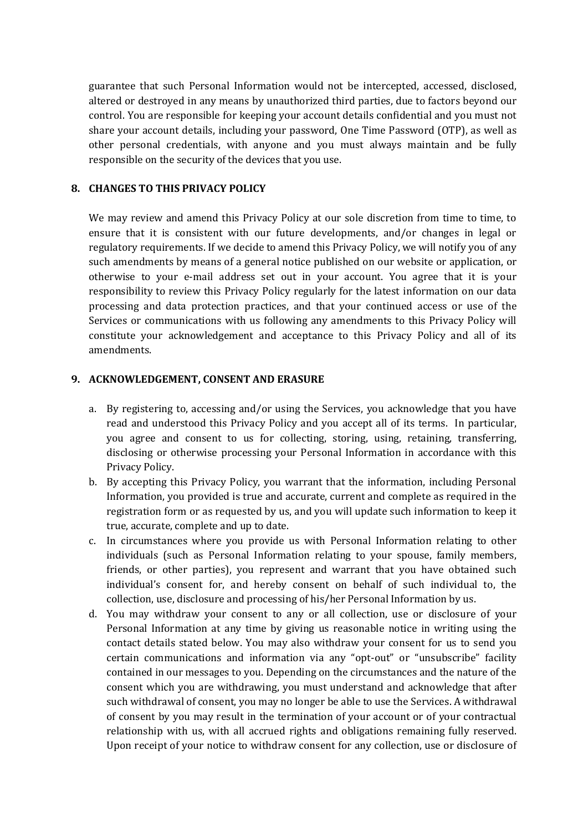guarantee that such Personal Information would not be intercepted, accessed, disclosed, altered or destroyed in any means by unauthorized third parties, due to factors beyond our control. You are responsible for keeping your account details confidential and you must not share your account details, including your password, One Time Password (OTP), as well as other personal credentials, with anyone and you must always maintain and be fully responsible on the security of the devices that you use.

### **8. CHANGES TO THIS PRIVACY POLICY**

We may review and amend this Privacy Policy at our sole discretion from time to time, to ensure that it is consistent with our future developments, and/or changes in legal or regulatory requirements. If we decide to amend this Privacy Policy, we will notify you of any such amendments by means of a general notice published on our website or application, or otherwise to your e-mail address set out in your account. You agree that it is your responsibility to review this Privacy Policy regularly for the latest information on our data processing and data protection practices, and that your continued access or use of the Services or communications with us following any amendments to this Privacy Policy will constitute your acknowledgement and acceptance to this Privacy Policy and all of its amendments.

#### **9. ACKNOWLEDGEMENT, CONSENT AND ERASURE**

- a. By registering to, accessing and/or using the Services, you acknowledge that you have read and understood this Privacy Policy and you accept all of its terms. In particular, you agree and consent to us for collecting, storing, using, retaining, transferring, disclosing or otherwise processing your Personal Information in accordance with this Privacy Policy.
- b. By accepting this Privacy Policy, you warrant that the information, including Personal Information, you provided is true and accurate, current and complete as required in the registration form or as requested by us, and you will update such information to keep it true, accurate, complete and up to date.
- c. In circumstances where you provide us with Personal Information relating to other individuals (such as Personal Information relating to your spouse, family members, friends, or other parties), you represent and warrant that you have obtained such individual's consent for, and hereby consent on behalf of such individual to, the collection, use, disclosure and processing of his/her Personal Information by us.
- d. You may withdraw your consent to any or all collection, use or disclosure of your Personal Information at any time by giving us reasonable notice in writing using the contact details stated below. You may also withdraw your consent for us to send you certain communications and information via any "opt-out" or "unsubscribe" facility contained in our messages to you. Depending on the circumstances and the nature of the consent which you are withdrawing, you must understand and acknowledge that after such withdrawal of consent, you may no longer be able to use the Services. A withdrawal of consent by you may result in the termination of your account or of your contractual relationship with us, with all accrued rights and obligations remaining fully reserved. Upon receipt of your notice to withdraw consent for any collection, use or disclosure of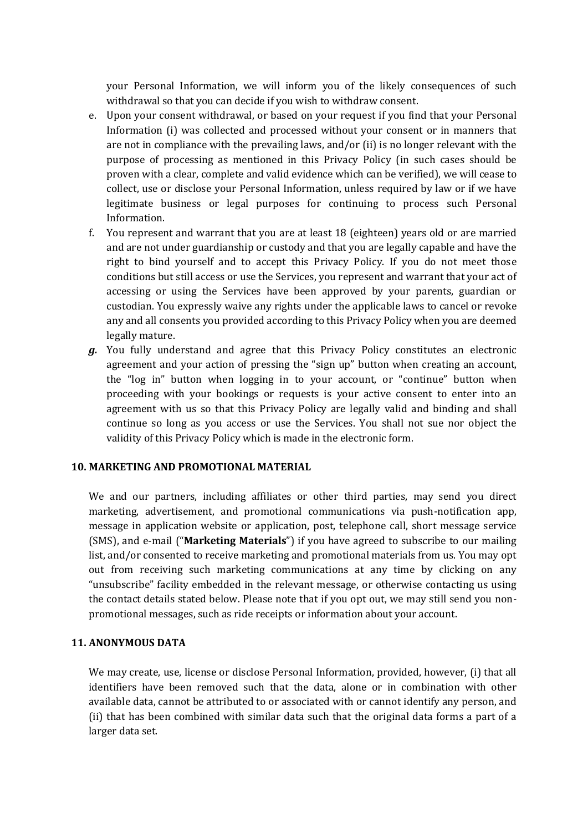your Personal Information, we will inform you of the likely consequences of such withdrawal so that you can decide if you wish to withdraw consent.

- e. Upon your consent withdrawal, or based on your request if you find that your Personal Information (i) was collected and processed without your consent or in manners that are not in compliance with the prevailing laws, and/or (ii) is no longer relevant with the purpose of processing as mentioned in this Privacy Policy (in such cases should be proven with a clear, complete and valid evidence which can be verified), we will cease to collect, use or disclose your Personal Information, unless required by law or if we have legitimate business or legal purposes for continuing to process such Personal Information.
- f. You represent and warrant that you are at least 18 (eighteen) years old or are married and are not under guardianship or custody and that you are legally capable and have the right to bind yourself and to accept this Privacy Policy. If you do not meet those conditions but still access or use the Services, you represent and warrant that your act of accessing or using the Services have been approved by your parents, guardian or custodian. You expressly waive any rights under the applicable laws to cancel or revoke any and all consents you provided according to this Privacy Policy when you are deemed legally mature.
- *g.* You fully understand and agree that this Privacy Policy constitutes an electronic agreement and your action of pressing the "sign up" button when creating an account, the "log in" button when logging in to your account, or "continue" button when proceeding with your bookings or requests is your active consent to enter into an agreement with us so that this Privacy Policy are legally valid and binding and shall continue so long as you access or use the Services. You shall not sue nor object the validity of this Privacy Policy which is made in the electronic form.

#### **10. MARKETING AND PROMOTIONAL MATERIAL**

We and our partners, including affiliates or other third parties, may send you direct marketing, advertisement, and promotional communications via push-notification app, message in application website or application, post, telephone call, short message service (SMS), and e-mail ("**Marketing Materials**") if you have agreed to subscribe to our mailing list, and/or consented to receive marketing and promotional materials from us. You may opt out from receiving such marketing communications at any time by clicking on any "unsubscribe" facility embedded in the relevant message, or otherwise contacting us using the contact details stated below. Please note that if you opt out, we may still send you nonpromotional messages, such as ride receipts or information about your account.

#### **11. ANONYMOUS DATA**

We may create, use, license or disclose Personal Information, provided, however, (i) that all identifiers have been removed such that the data, alone or in combination with other available data, cannot be attributed to or associated with or cannot identify any person, and (ii) that has been combined with similar data such that the original data forms a part of a larger data set.